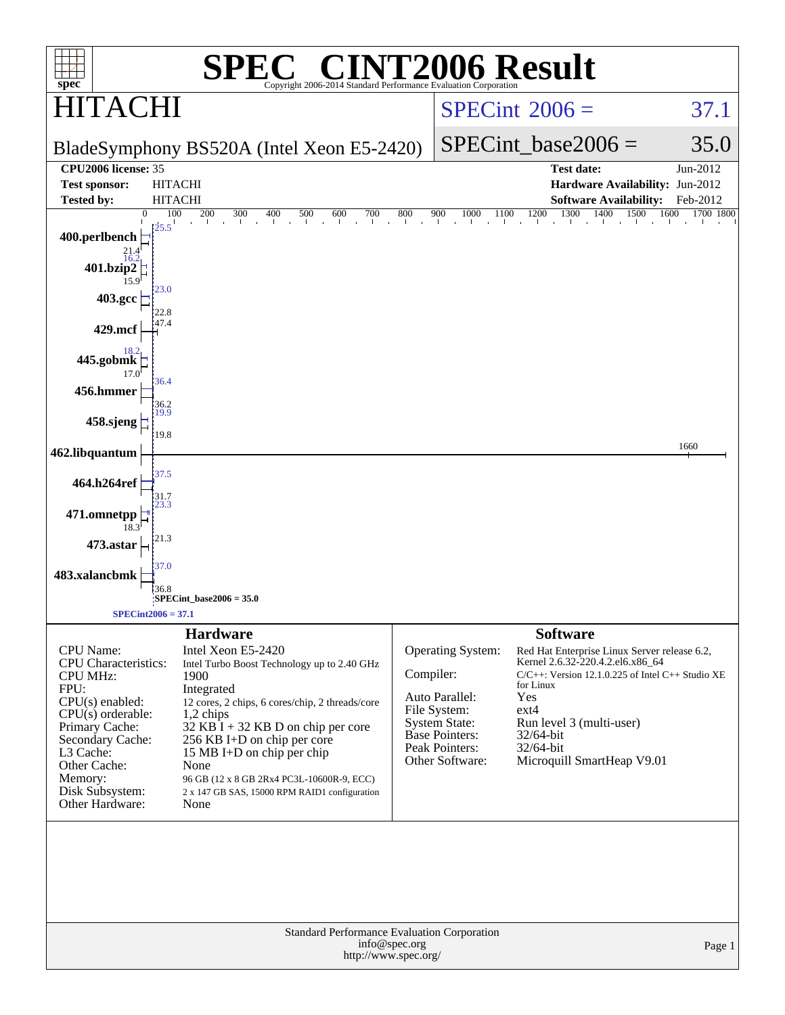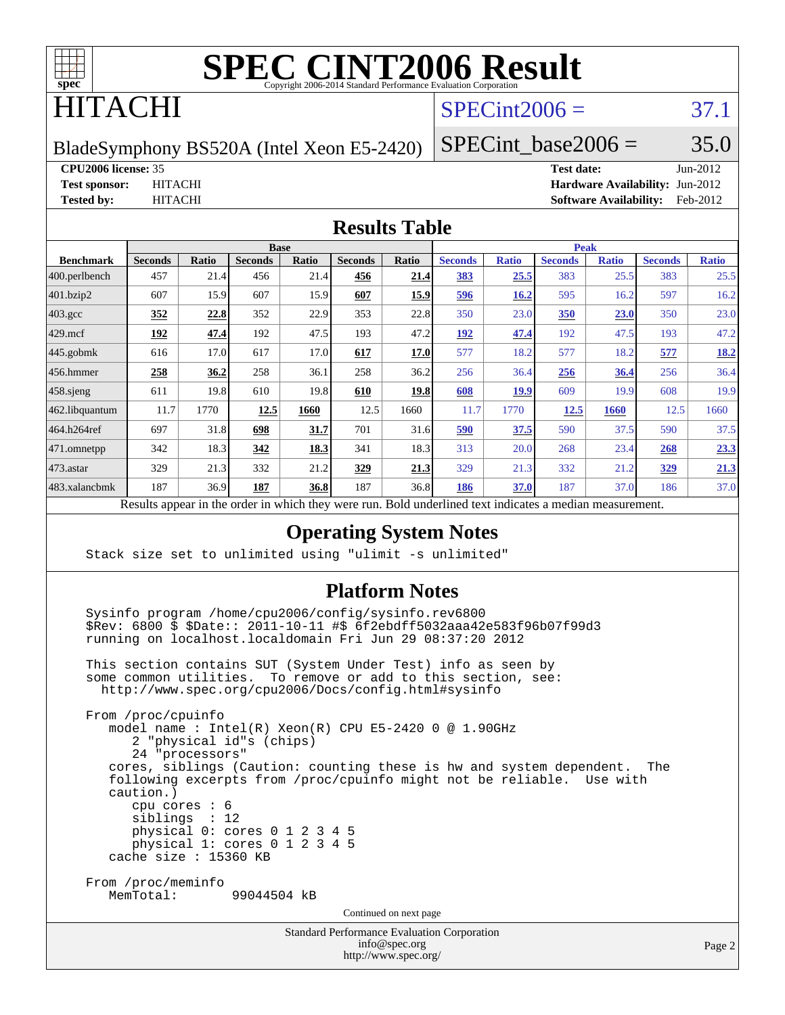

# ITACHI

### $SPECint2006 = 37.1$  $SPECint2006 = 37.1$

BladeSymphony BS520A (Intel Xeon E5-2420)

SPECint base2006 =  $35.0$ 

#### **[CPU2006 license:](http://www.spec.org/auto/cpu2006/Docs/result-fields.html#CPU2006license)** 35 **[Test date:](http://www.spec.org/auto/cpu2006/Docs/result-fields.html#Testdate)** Jun-2012

**[Test sponsor:](http://www.spec.org/auto/cpu2006/Docs/result-fields.html#Testsponsor)** HITACHI **[Hardware Availability:](http://www.spec.org/auto/cpu2006/Docs/result-fields.html#HardwareAvailability)** Jun-2012 **[Tested by:](http://www.spec.org/auto/cpu2006/Docs/result-fields.html#Testedby)** HITACHI **[Software Availability:](http://www.spec.org/auto/cpu2006/Docs/result-fields.html#SoftwareAvailability)** Feb-2012

#### **[Results Table](http://www.spec.org/auto/cpu2006/Docs/result-fields.html#ResultsTable)**

|                                                                                                      | <b>Base</b>    |              |                |       |                |             | <b>Peak</b>    |              |                |              |                |              |
|------------------------------------------------------------------------------------------------------|----------------|--------------|----------------|-------|----------------|-------------|----------------|--------------|----------------|--------------|----------------|--------------|
| <b>Benchmark</b>                                                                                     | <b>Seconds</b> | <b>Ratio</b> | <b>Seconds</b> | Ratio | <b>Seconds</b> | Ratio       | <b>Seconds</b> | <b>Ratio</b> | <b>Seconds</b> | <b>Ratio</b> | <b>Seconds</b> | <b>Ratio</b> |
| 400.perlbench                                                                                        | 457            | 21.4         | 456            | 21.4  | 456            | 21.4        | <b>383</b>     | 25.5         | 383            | 25.5         | 383            | 25.5         |
| 401.bzip2                                                                                            | 607            | 15.9         | 607            | 15.9  | 607            | <u>15.9</u> | <u>596</u>     | 16.2         | 595            | 16.2         | 597            | 16.2         |
| $403.\text{gcc}$                                                                                     | 352            | 22.8         | 352            | 22.9  | 353            | 22.8        | 350            | 23.0         | <b>350</b>     | 23.0         | 350            | 23.0         |
| $429$ .mcf                                                                                           | 192            | 47.4         | 192            | 47.5  | 193            | 47.2        | 192            | 47.4         | 192            | 47.5         | 193            | 47.2         |
| $445$ .gobmk                                                                                         | 616            | 17.0         | 617            | 17.0  | 617            | 17.0        | 577            | 18.2         | 577            | 18.2         | 577            | 18.2         |
| $ 456$ .hmmer                                                                                        | 258            | 36.2         | 258            | 36.1  | 258            | 36.2        | 256            | 36.4         | 256            | 36.4         | 256            | 36.4         |
| $458$ .sjeng                                                                                         | 611            | 19.8         | 610            | 19.8  | 610            | 19.8        | 608            | 19.9         | 609            | 19.9         | 608            | 19.9         |
| 462.libquantum                                                                                       | 11.7           | 1770         | 12.5           | 1660  | 12.5           | 1660        | 11.7           | 1770         | 12.5           | 1660         | 12.5           | 1660         |
| 464.h264ref                                                                                          | 697            | 31.8         | 698            | 31.7  | 701            | 31.6        | 590            | 37.5         | 590            | 37.5         | 590            | 37.5         |
| 471.omnetpp                                                                                          | 342            | 18.3         | 342            | 18.3  | 341            | 18.3        | 313            | 20.0         | 268            | 23.4         | 268            | 23.3         |
| $473.$ astar                                                                                         | 329            | 21.3         | 332            | 21.2  | 329            | 21.3        | 329            | 21.3         | 332            | 21.2         | 329            | 21.3         |
| 483.xalancbmk                                                                                        | 187            | 36.9         | 187            | 36.8  | 187            | 36.8        | 186            | 37.0         | 187            | 37.0         | 186            | 37.0         |
| $\cdot$ . $\cdot$<br><sub>n</sub><br>1.<br>1.1.1<br>$\mathbf{1}$<br>$\cdot$<br>$n$ 11<br>$1 \quad 1$ |                |              |                |       |                |             |                |              |                |              |                |              |

Results appear in the [order in which they were run.](http://www.spec.org/auto/cpu2006/Docs/result-fields.html#RunOrder) Bold underlined text [indicates a median measurement.](http://www.spec.org/auto/cpu2006/Docs/result-fields.html#Median)

#### **[Operating System Notes](http://www.spec.org/auto/cpu2006/Docs/result-fields.html#OperatingSystemNotes)**

Stack size set to unlimited using "ulimit -s unlimited"

#### **[Platform Notes](http://www.spec.org/auto/cpu2006/Docs/result-fields.html#PlatformNotes)**

 Sysinfo program /home/cpu2006/config/sysinfo.rev6800 \$Rev: 6800 \$ \$Date:: 2011-10-11 #\$ 6f2ebdff5032aaa42e583f96b07f99d3 running on localhost.localdomain Fri Jun 29 08:37:20 2012

 This section contains SUT (System Under Test) info as seen by some common utilities. To remove or add to this section, see: <http://www.spec.org/cpu2006/Docs/config.html#sysinfo>

 From /proc/cpuinfo model name : Intel(R) Xeon(R) CPU E5-2420 0 @ 1.90GHz 2 "physical id"s (chips) 24 "processors" cores, siblings (Caution: counting these is hw and system dependent. The following excerpts from /proc/cpuinfo might not be reliable. Use with caution.) cpu cores : 6 siblings : 12 physical 0: cores 0 1 2 3 4 5 physical 1: cores 0 1 2 3 4 5 cache size : 15360 KB From /proc/meminfo MemTotal: 99044504 kB

Continued on next page

Standard Performance Evaluation Corporation [info@spec.org](mailto:info@spec.org) <http://www.spec.org/>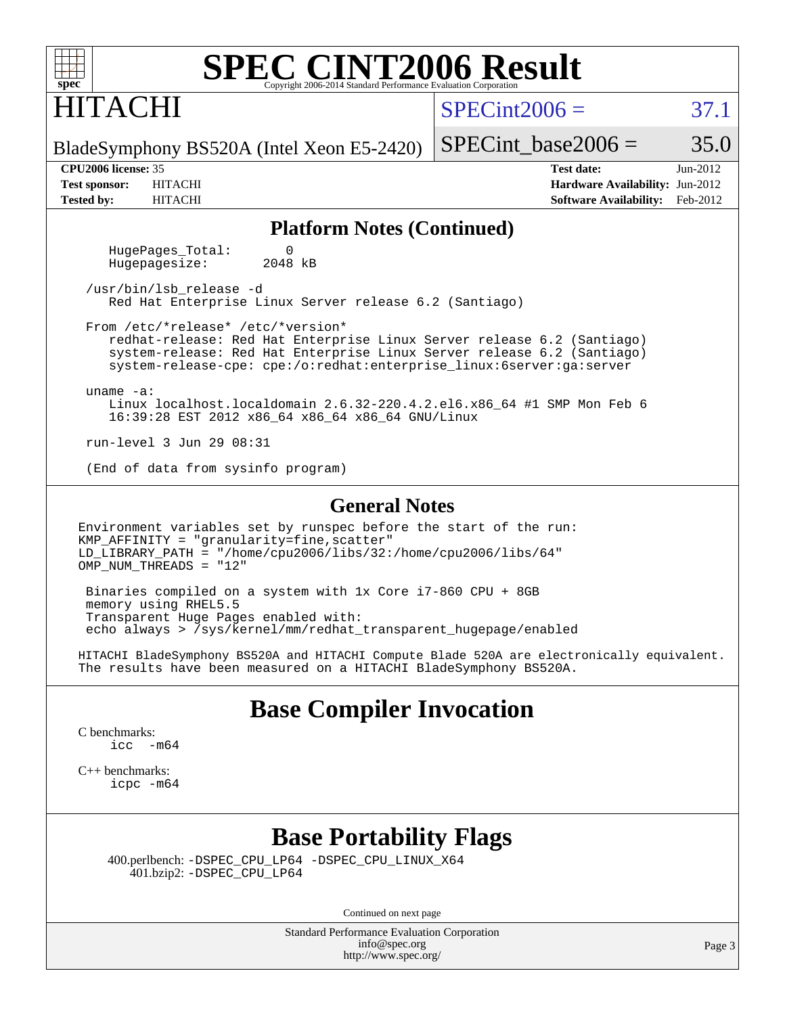| $SDec^*$                     |                         | <b>SPEC CINT2006 Result</b><br>Copyright 2006-2014 Standard Performance Evaluation Corporation |  |                 |                                 |          |
|------------------------------|-------------------------|------------------------------------------------------------------------------------------------|--|-----------------|---------------------------------|----------|
| <b>HITACHI</b>               |                         |                                                                                                |  | $SPECint2006 =$ |                                 | 37.      |
|                              |                         | BladeSymphony BS520A (Intel Xeon E5-2420)                                                      |  |                 | SPECint base2006 =              | 35.      |
| <b>CPU2006 license: 35</b>   |                         |                                                                                                |  |                 | <b>Test date:</b>               | Jun-2012 |
| <b>Test sponsor:</b>         | <b>HITACHI</b>          |                                                                                                |  |                 | Hardware Availability: Jun-2012 |          |
| <b>Tested by:</b>            | <b>HITACHI</b>          |                                                                                                |  |                 | <b>Software Availability:</b>   | Feb-2012 |
|                              |                         | <b>Platform Notes (Continued)</b>                                                              |  |                 |                                 |          |
| $\Omega$<br>HugePages Total: |                         |                                                                                                |  |                 |                                 |          |
| Hugepagesize:                | 2048 kB                 |                                                                                                |  |                 |                                 |          |
|                              | /usr/bin/lsb release -d |                                                                                                |  |                 |                                 |          |

 From /etc/\*release\* /etc/\*version\* redhat-release: Red Hat Enterprise Linux Server release 6.2 (Santiago) system-release: Red Hat Enterprise Linux Server release 6.2 (Santiago) system-release-cpe: cpe:/o:redhat:enterprise\_linux:6server:ga:server

uname -a:

 Linux localhost.localdomain 2.6.32-220.4.2.el6.x86\_64 #1 SMP Mon Feb 6 16:39:28 EST 2012 x86\_64 x86\_64 x86\_64 GNU/Linux

run-level 3 Jun 29 08:31

(End of data from sysinfo program)

#### **[General Notes](http://www.spec.org/auto/cpu2006/Docs/result-fields.html#GeneralNotes)**

Environment variables set by runspec before the start of the run: KMP\_AFFINITY = "granularity=fine,scatter" LD\_LIBRARY\_PATH = "/home/cpu2006/libs/32:/home/cpu2006/libs/64" OMP NUM THREADS =  $"12"$ 

Red Hat Enterprise Linux Server release 6.2 (Santiago)

 Binaries compiled on a system with 1x Core i7-860 CPU + 8GB memory using RHEL5.5 Transparent Huge Pages enabled with: echo always > /sys/kernel/mm/redhat\_transparent\_hugepage/enabled

HITACHI BladeSymphony BS520A and HITACHI Compute Blade 520A are electronically equivalent. The results have been measured on a HITACHI BladeSymphony BS520A.

#### **[Base Compiler Invocation](http://www.spec.org/auto/cpu2006/Docs/result-fields.html#BaseCompilerInvocation)**

[C benchmarks](http://www.spec.org/auto/cpu2006/Docs/result-fields.html#Cbenchmarks): [icc -m64](http://www.spec.org/cpu2006/results/res2012q3/cpu2006-20120703-23509.flags.html#user_CCbase_intel_icc_64bit_f346026e86af2a669e726fe758c88044)

[C++ benchmarks:](http://www.spec.org/auto/cpu2006/Docs/result-fields.html#CXXbenchmarks) [icpc -m64](http://www.spec.org/cpu2006/results/res2012q3/cpu2006-20120703-23509.flags.html#user_CXXbase_intel_icpc_64bit_fc66a5337ce925472a5c54ad6a0de310)

#### **[Base Portability Flags](http://www.spec.org/auto/cpu2006/Docs/result-fields.html#BasePortabilityFlags)**

 400.perlbench: [-DSPEC\\_CPU\\_LP64](http://www.spec.org/cpu2006/results/res2012q3/cpu2006-20120703-23509.flags.html#b400.perlbench_basePORTABILITY_DSPEC_CPU_LP64) [-DSPEC\\_CPU\\_LINUX\\_X64](http://www.spec.org/cpu2006/results/res2012q3/cpu2006-20120703-23509.flags.html#b400.perlbench_baseCPORTABILITY_DSPEC_CPU_LINUX_X64) 401.bzip2: [-DSPEC\\_CPU\\_LP64](http://www.spec.org/cpu2006/results/res2012q3/cpu2006-20120703-23509.flags.html#suite_basePORTABILITY401_bzip2_DSPEC_CPU_LP64)

Continued on next page

Standard Performance Evaluation Corporation [info@spec.org](mailto:info@spec.org) <http://www.spec.org/>

 $37.1$ 

 $35.0$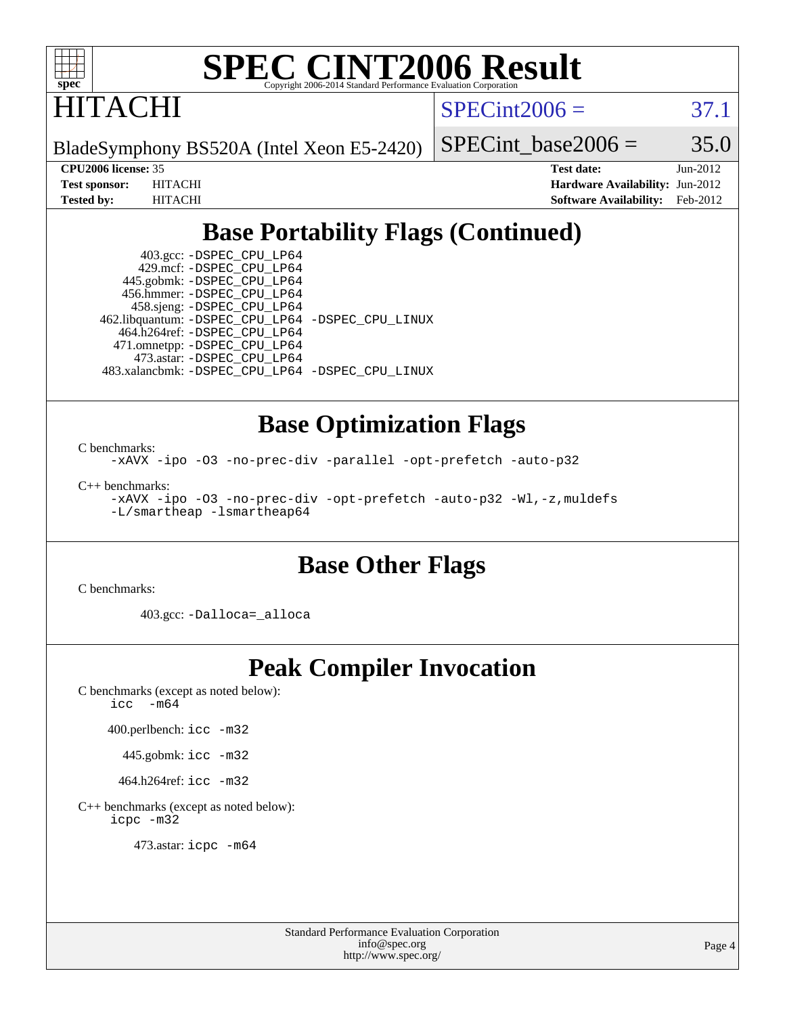

**ITACHI** 

 $SPECint2006 = 37.1$  $SPECint2006 = 37.1$ 

BladeSymphony BS520A (Intel Xeon E5-2420)

SPECint base2006 =  $35.0$ 

**[CPU2006 license:](http://www.spec.org/auto/cpu2006/Docs/result-fields.html#CPU2006license)** 35 **[Test date:](http://www.spec.org/auto/cpu2006/Docs/result-fields.html#Testdate)** Jun-2012 **[Test sponsor:](http://www.spec.org/auto/cpu2006/Docs/result-fields.html#Testsponsor)** HITACHI **[Hardware Availability:](http://www.spec.org/auto/cpu2006/Docs/result-fields.html#HardwareAvailability)** Jun-2012 **[Tested by:](http://www.spec.org/auto/cpu2006/Docs/result-fields.html#Testedby)** HITACHI **[Software Availability:](http://www.spec.org/auto/cpu2006/Docs/result-fields.html#SoftwareAvailability)** Feb-2012

### **[Base Portability Flags \(Continued\)](http://www.spec.org/auto/cpu2006/Docs/result-fields.html#BasePortabilityFlags)**

 403.gcc: [-DSPEC\\_CPU\\_LP64](http://www.spec.org/cpu2006/results/res2012q3/cpu2006-20120703-23509.flags.html#suite_basePORTABILITY403_gcc_DSPEC_CPU_LP64) 429.mcf: [-DSPEC\\_CPU\\_LP64](http://www.spec.org/cpu2006/results/res2012q3/cpu2006-20120703-23509.flags.html#suite_basePORTABILITY429_mcf_DSPEC_CPU_LP64) 445.gobmk: [-DSPEC\\_CPU\\_LP64](http://www.spec.org/cpu2006/results/res2012q3/cpu2006-20120703-23509.flags.html#suite_basePORTABILITY445_gobmk_DSPEC_CPU_LP64) 456.hmmer: [-DSPEC\\_CPU\\_LP64](http://www.spec.org/cpu2006/results/res2012q3/cpu2006-20120703-23509.flags.html#suite_basePORTABILITY456_hmmer_DSPEC_CPU_LP64) 458.sjeng: [-DSPEC\\_CPU\\_LP64](http://www.spec.org/cpu2006/results/res2012q3/cpu2006-20120703-23509.flags.html#suite_basePORTABILITY458_sjeng_DSPEC_CPU_LP64) 462.libquantum: [-DSPEC\\_CPU\\_LP64](http://www.spec.org/cpu2006/results/res2012q3/cpu2006-20120703-23509.flags.html#suite_basePORTABILITY462_libquantum_DSPEC_CPU_LP64) [-DSPEC\\_CPU\\_LINUX](http://www.spec.org/cpu2006/results/res2012q3/cpu2006-20120703-23509.flags.html#b462.libquantum_baseCPORTABILITY_DSPEC_CPU_LINUX) 464.h264ref: [-DSPEC\\_CPU\\_LP64](http://www.spec.org/cpu2006/results/res2012q3/cpu2006-20120703-23509.flags.html#suite_basePORTABILITY464_h264ref_DSPEC_CPU_LP64) 471.omnetpp: [-DSPEC\\_CPU\\_LP64](http://www.spec.org/cpu2006/results/res2012q3/cpu2006-20120703-23509.flags.html#suite_basePORTABILITY471_omnetpp_DSPEC_CPU_LP64) 473.astar: [-DSPEC\\_CPU\\_LP64](http://www.spec.org/cpu2006/results/res2012q3/cpu2006-20120703-23509.flags.html#suite_basePORTABILITY473_astar_DSPEC_CPU_LP64) 483.xalancbmk: [-DSPEC\\_CPU\\_LP64](http://www.spec.org/cpu2006/results/res2012q3/cpu2006-20120703-23509.flags.html#suite_basePORTABILITY483_xalancbmk_DSPEC_CPU_LP64) [-DSPEC\\_CPU\\_LINUX](http://www.spec.org/cpu2006/results/res2012q3/cpu2006-20120703-23509.flags.html#b483.xalancbmk_baseCXXPORTABILITY_DSPEC_CPU_LINUX)

#### **[Base Optimization Flags](http://www.spec.org/auto/cpu2006/Docs/result-fields.html#BaseOptimizationFlags)**

[C benchmarks](http://www.spec.org/auto/cpu2006/Docs/result-fields.html#Cbenchmarks): [-xAVX](http://www.spec.org/cpu2006/results/res2012q3/cpu2006-20120703-23509.flags.html#user_CCbase_f-xAVX) [-ipo](http://www.spec.org/cpu2006/results/res2012q3/cpu2006-20120703-23509.flags.html#user_CCbase_f-ipo) [-O3](http://www.spec.org/cpu2006/results/res2012q3/cpu2006-20120703-23509.flags.html#user_CCbase_f-O3) [-no-prec-div](http://www.spec.org/cpu2006/results/res2012q3/cpu2006-20120703-23509.flags.html#user_CCbase_f-no-prec-div) [-parallel](http://www.spec.org/cpu2006/results/res2012q3/cpu2006-20120703-23509.flags.html#user_CCbase_f-parallel) [-opt-prefetch](http://www.spec.org/cpu2006/results/res2012q3/cpu2006-20120703-23509.flags.html#user_CCbase_f-opt-prefetch) [-auto-p32](http://www.spec.org/cpu2006/results/res2012q3/cpu2006-20120703-23509.flags.html#user_CCbase_f-auto-p32)

[C++ benchmarks:](http://www.spec.org/auto/cpu2006/Docs/result-fields.html#CXXbenchmarks) [-xAVX](http://www.spec.org/cpu2006/results/res2012q3/cpu2006-20120703-23509.flags.html#user_CXXbase_f-xAVX) [-ipo](http://www.spec.org/cpu2006/results/res2012q3/cpu2006-20120703-23509.flags.html#user_CXXbase_f-ipo) [-O3](http://www.spec.org/cpu2006/results/res2012q3/cpu2006-20120703-23509.flags.html#user_CXXbase_f-O3) [-no-prec-div](http://www.spec.org/cpu2006/results/res2012q3/cpu2006-20120703-23509.flags.html#user_CXXbase_f-no-prec-div) [-opt-prefetch](http://www.spec.org/cpu2006/results/res2012q3/cpu2006-20120703-23509.flags.html#user_CXXbase_f-opt-prefetch) [-auto-p32](http://www.spec.org/cpu2006/results/res2012q3/cpu2006-20120703-23509.flags.html#user_CXXbase_f-auto-p32) [-Wl,-z,muldefs](http://www.spec.org/cpu2006/results/res2012q3/cpu2006-20120703-23509.flags.html#user_CXXbase_link_force_multiple1_74079c344b956b9658436fd1b6dd3a8a) [-L/smartheap -lsmartheap64](http://www.spec.org/cpu2006/results/res2012q3/cpu2006-20120703-23509.flags.html#user_CXXbase_SmartHeap64_5e654037dadeae1fe403ab4b4466e60b)

#### **[Base Other Flags](http://www.spec.org/auto/cpu2006/Docs/result-fields.html#BaseOtherFlags)**

[C benchmarks](http://www.spec.org/auto/cpu2006/Docs/result-fields.html#Cbenchmarks):

403.gcc: [-Dalloca=\\_alloca](http://www.spec.org/cpu2006/results/res2012q3/cpu2006-20120703-23509.flags.html#b403.gcc_baseEXTRA_CFLAGS_Dalloca_be3056838c12de2578596ca5467af7f3)

# **[Peak Compiler Invocation](http://www.spec.org/auto/cpu2006/Docs/result-fields.html#PeakCompilerInvocation)**

[C benchmarks \(except as noted below\)](http://www.spec.org/auto/cpu2006/Docs/result-fields.html#Cbenchmarksexceptasnotedbelow): [icc -m64](http://www.spec.org/cpu2006/results/res2012q3/cpu2006-20120703-23509.flags.html#user_CCpeak_intel_icc_64bit_f346026e86af2a669e726fe758c88044)

400.perlbench: [icc -m32](http://www.spec.org/cpu2006/results/res2012q3/cpu2006-20120703-23509.flags.html#user_peakCCLD400_perlbench_intel_icc_a6a621f8d50482236b970c6ac5f55f93)

445.gobmk: [icc -m32](http://www.spec.org/cpu2006/results/res2012q3/cpu2006-20120703-23509.flags.html#user_peakCCLD445_gobmk_intel_icc_a6a621f8d50482236b970c6ac5f55f93)

464.h264ref: [icc -m32](http://www.spec.org/cpu2006/results/res2012q3/cpu2006-20120703-23509.flags.html#user_peakCCLD464_h264ref_intel_icc_a6a621f8d50482236b970c6ac5f55f93)

[C++ benchmarks \(except as noted below\):](http://www.spec.org/auto/cpu2006/Docs/result-fields.html#CXXbenchmarksexceptasnotedbelow) [icpc -m32](http://www.spec.org/cpu2006/results/res2012q3/cpu2006-20120703-23509.flags.html#user_CXXpeak_intel_icpc_4e5a5ef1a53fd332b3c49e69c3330699)

473.astar: [icpc -m64](http://www.spec.org/cpu2006/results/res2012q3/cpu2006-20120703-23509.flags.html#user_peakCXXLD473_astar_intel_icpc_64bit_fc66a5337ce925472a5c54ad6a0de310)

Standard Performance Evaluation Corporation [info@spec.org](mailto:info@spec.org) <http://www.spec.org/>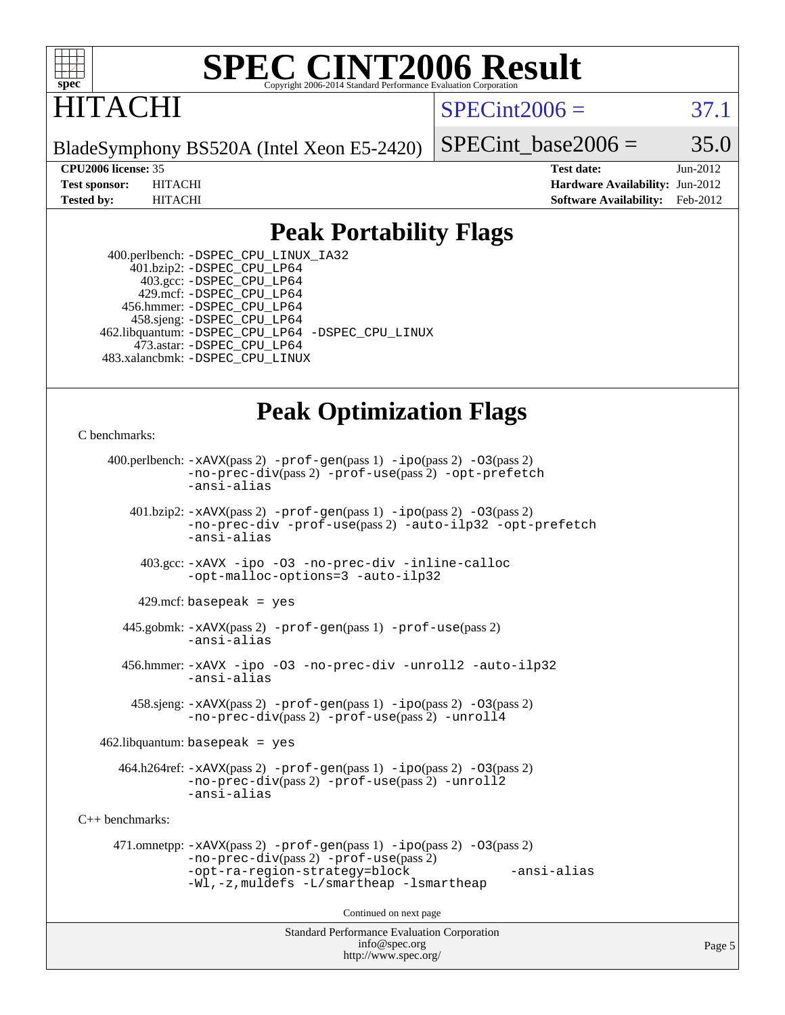

# ITACHI

 $SPECint2006 = 37.1$  $SPECint2006 = 37.1$ 

BladeSymphony BS520A (Intel Xeon E5-2420)

SPECint base2006 =  $35.0$ 

**[CPU2006 license:](http://www.spec.org/auto/cpu2006/Docs/result-fields.html#CPU2006license)** 35 **[Test date:](http://www.spec.org/auto/cpu2006/Docs/result-fields.html#Testdate)** Jun-2012 **[Test sponsor:](http://www.spec.org/auto/cpu2006/Docs/result-fields.html#Testsponsor)** HITACHI **[Hardware Availability:](http://www.spec.org/auto/cpu2006/Docs/result-fields.html#HardwareAvailability)** Jun-2012 **[Tested by:](http://www.spec.org/auto/cpu2006/Docs/result-fields.html#Testedby)** HITACHI **[Software Availability:](http://www.spec.org/auto/cpu2006/Docs/result-fields.html#SoftwareAvailability)** Feb-2012

### **[Peak Portability Flags](http://www.spec.org/auto/cpu2006/Docs/result-fields.html#PeakPortabilityFlags)**

 400.perlbench: [-DSPEC\\_CPU\\_LINUX\\_IA32](http://www.spec.org/cpu2006/results/res2012q3/cpu2006-20120703-23509.flags.html#b400.perlbench_peakCPORTABILITY_DSPEC_CPU_LINUX_IA32) 401.bzip2: [-DSPEC\\_CPU\\_LP64](http://www.spec.org/cpu2006/results/res2012q3/cpu2006-20120703-23509.flags.html#suite_peakPORTABILITY401_bzip2_DSPEC_CPU_LP64) 403.gcc: [-DSPEC\\_CPU\\_LP64](http://www.spec.org/cpu2006/results/res2012q3/cpu2006-20120703-23509.flags.html#suite_peakPORTABILITY403_gcc_DSPEC_CPU_LP64) 429.mcf: [-DSPEC\\_CPU\\_LP64](http://www.spec.org/cpu2006/results/res2012q3/cpu2006-20120703-23509.flags.html#suite_peakPORTABILITY429_mcf_DSPEC_CPU_LP64) 456.hmmer: [-DSPEC\\_CPU\\_LP64](http://www.spec.org/cpu2006/results/res2012q3/cpu2006-20120703-23509.flags.html#suite_peakPORTABILITY456_hmmer_DSPEC_CPU_LP64) 458.sjeng: [-DSPEC\\_CPU\\_LP64](http://www.spec.org/cpu2006/results/res2012q3/cpu2006-20120703-23509.flags.html#suite_peakPORTABILITY458_sjeng_DSPEC_CPU_LP64) 462.libquantum: [-DSPEC\\_CPU\\_LP64](http://www.spec.org/cpu2006/results/res2012q3/cpu2006-20120703-23509.flags.html#suite_peakPORTABILITY462_libquantum_DSPEC_CPU_LP64) [-DSPEC\\_CPU\\_LINUX](http://www.spec.org/cpu2006/results/res2012q3/cpu2006-20120703-23509.flags.html#b462.libquantum_peakCPORTABILITY_DSPEC_CPU_LINUX) 473.astar: [-DSPEC\\_CPU\\_LP64](http://www.spec.org/cpu2006/results/res2012q3/cpu2006-20120703-23509.flags.html#suite_peakPORTABILITY473_astar_DSPEC_CPU_LP64) 483.xalancbmk: [-DSPEC\\_CPU\\_LINUX](http://www.spec.org/cpu2006/results/res2012q3/cpu2006-20120703-23509.flags.html#b483.xalancbmk_peakCXXPORTABILITY_DSPEC_CPU_LINUX)

### **[Peak Optimization Flags](http://www.spec.org/auto/cpu2006/Docs/result-fields.html#PeakOptimizationFlags)**

[C benchmarks](http://www.spec.org/auto/cpu2006/Docs/result-fields.html#Cbenchmarks):

```
Standard Performance Evaluation Corporation
                                          info@spec.org
     400.perlbench: -xAVX(pass 2) -prof-gen(pass 1) -ipo(pass 2) -O3(pass 2)
                -no-prec-div(pass 2) -prof-use(pass 2) -opt-prefetch
                -ansi-alias
        401.bzip2: -xAVX(pass 2) -prof-gen(pass 1) -ipo(pass 2) -O3(pass 2)
                -no-prec-div -prof-use(pass 2) -auto-ilp32 -opt-prefetch
                -ansi-alias
          403.gcc: -xAVX -ipo -O3 -no-prec-div -inline-calloc
                -opt-malloc-options=3 -auto-ilp32
         429.mcf: basepeak = yes
       445.gobmk: -xAVX(pass 2) -prof-gen(pass 1) -prof-use(pass 2)
                -ansi-alias
       456.hmmer: -xAVX -ipo -O3 -no-prec-div -unroll2 -auto-ilp32
                -ansi-alias
         458.sjeng: -xAVX(pass 2) -prof-gen(pass 1) -ipo(pass 2) -O3(pass 2)
                -no-prec-div(pass 2) -prof-use(pass 2) -unroll4
    462.libquantum: basepeak = yes
       464.h264ref: -xAVX(pass 2) -prof-gen(pass 1) -ipo(pass 2) -O3(pass 2)
                -no-prec-div(pass 2) -prof-use(pass 2) -unroll2
                -ansi-alias
C++ benchmarks: 
      471.omnetpp: -xAVX(pass 2) -prof-gen(pass 1) -ipo(pass 2) -O3(pass 2)
                -no-prec-div(pass 2) -prof-use(pass 2)
                -opt-ra-region-strategy=block -ansi-alias
                -Wl,-z,muldefs -L/smartheap -lsmartheap
                                        Continued on next page
```
<http://www.spec.org/>